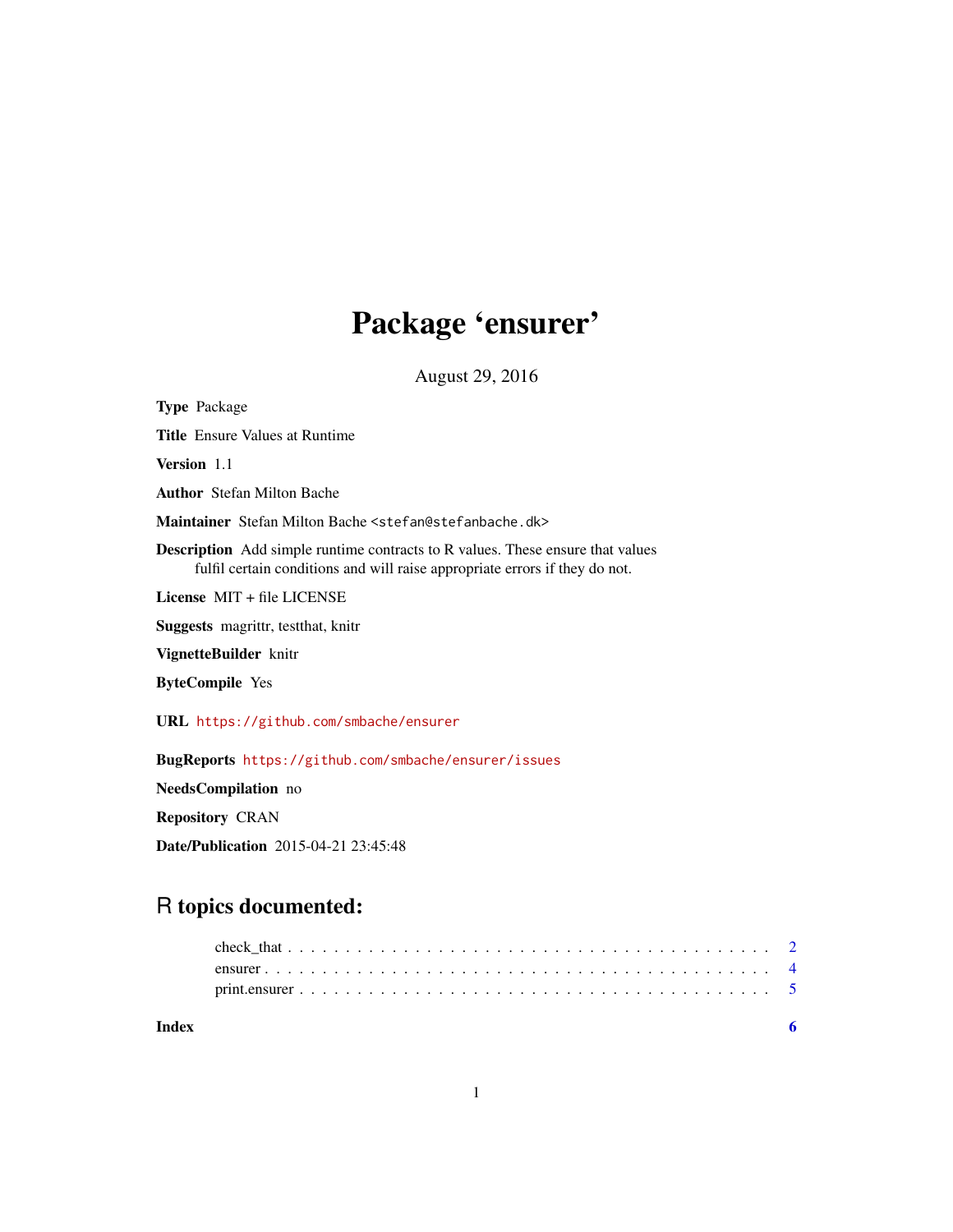# Package 'ensurer'

August 29, 2016

Type Package Title Ensure Values at Runtime Version 1.1 Author Stefan Milton Bache Maintainer Stefan Milton Bache <stefan@stefanbache.dk> Description Add simple runtime contracts to R values. These ensure that values fulfil certain conditions and will raise appropriate errors if they do not. License MIT + file LICENSE Suggests magrittr, testthat, knitr VignetteBuilder knitr ByteCompile Yes URL <https://github.com/smbache/ensurer> BugReports <https://github.com/smbache/ensurer/issues> NeedsCompilation no Repository CRAN

Date/Publication 2015-04-21 23:45:48

# R topics documented:

| Index |  |  |  |  |  |  |  |  |  |  |  |  |  |  |  |  |  |  |
|-------|--|--|--|--|--|--|--|--|--|--|--|--|--|--|--|--|--|--|
|       |  |  |  |  |  |  |  |  |  |  |  |  |  |  |  |  |  |  |
|       |  |  |  |  |  |  |  |  |  |  |  |  |  |  |  |  |  |  |
|       |  |  |  |  |  |  |  |  |  |  |  |  |  |  |  |  |  |  |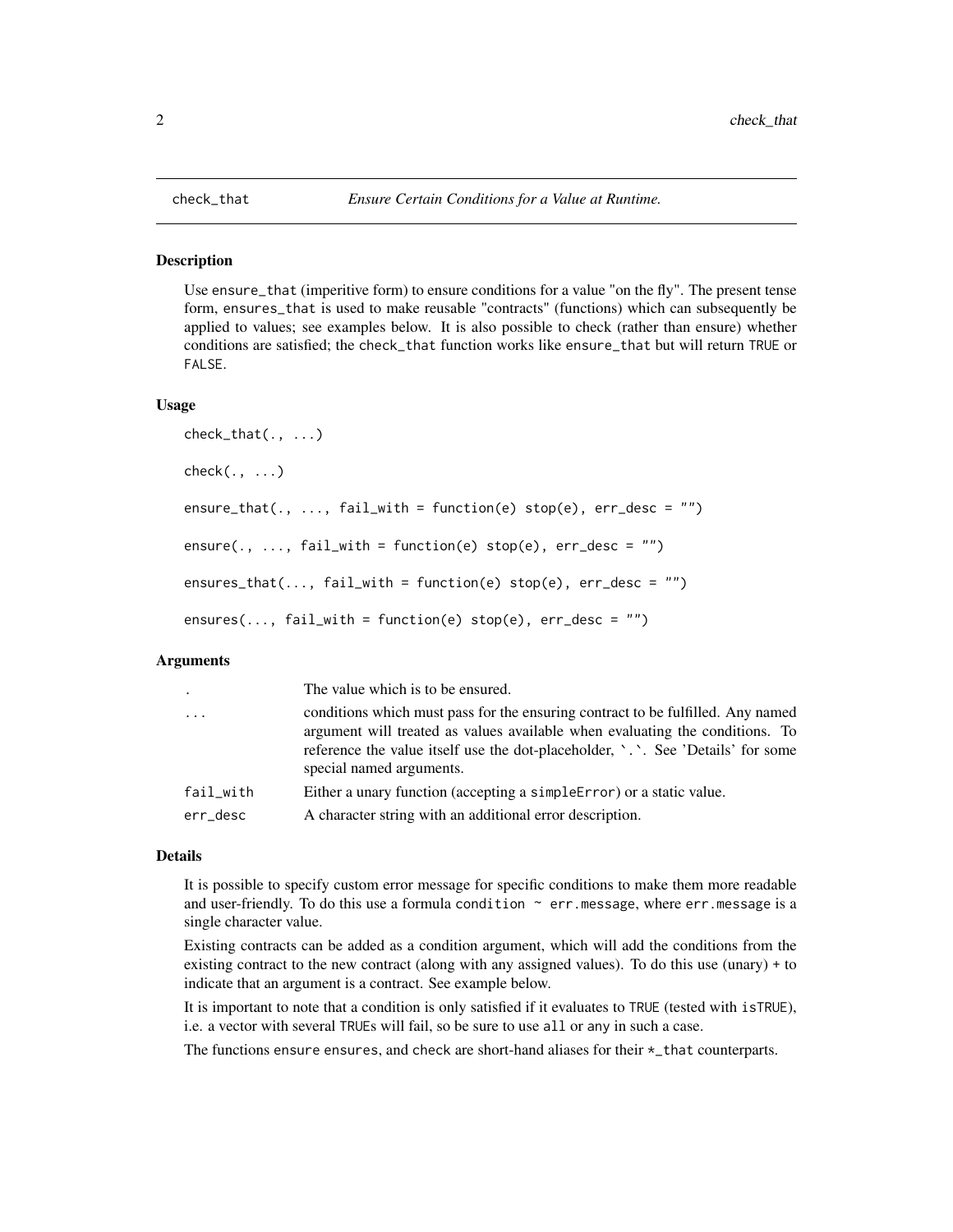#### <span id="page-1-1"></span><span id="page-1-0"></span>Description

Use ensure\_that (imperitive form) to ensure conditions for a value "on the fly". The present tense form, ensures\_that is used to make reusable "contracts" (functions) which can subsequently be applied to values; see examples below. It is also possible to check (rather than ensure) whether conditions are satisfied; the check\_that function works like ensure\_that but will return TRUE or FALSE.

#### Usage

```
check_that(., ...)
check(., ..., )ensure_that(., ..., fail_with = function(e) stop(e), err-desc = "")ensure(., ..., fail_with = function(e) stop(e), err\_desc = "")ensures_that(\dots, fail_with = function(e) stop(e), err_desc = "")
ensures(..., fail\_with = function(e) stop(e), err\_desc = "")
```
#### Arguments

| $\ddot{\phantom{a}}$ | The value which is to be ensured.                                                                                                                                                                                                                                              |
|----------------------|--------------------------------------------------------------------------------------------------------------------------------------------------------------------------------------------------------------------------------------------------------------------------------|
| $\cdots$             | conditions which must pass for the ensuring contract to be fulfilled. Any named<br>argument will treated as values available when evaluating the conditions. To<br>reference the value itself use the dot-placeholder, '.'. See 'Details' for some<br>special named arguments. |
| fail_with            | Either a unary function (accepting a simple Error) or a static value.                                                                                                                                                                                                          |
| err_desc             | A character string with an additional error description.                                                                                                                                                                                                                       |

#### Details

It is possible to specify custom error message for specific conditions to make them more readable and user-friendly. To do this use a formula condition  $\sim$  err.message, where err.message is a single character value.

Existing contracts can be added as a condition argument, which will add the conditions from the existing contract to the new contract (along with any assigned values). To do this use (unary) + to indicate that an argument is a contract. See example below.

It is important to note that a condition is only satisfied if it evaluates to TRUE (tested with isTRUE), i.e. a vector with several TRUEs will fail, so be sure to use all or any in such a case.

The functions ensure ensures, and check are short-hand aliases for their  $\star$ \_that counterparts.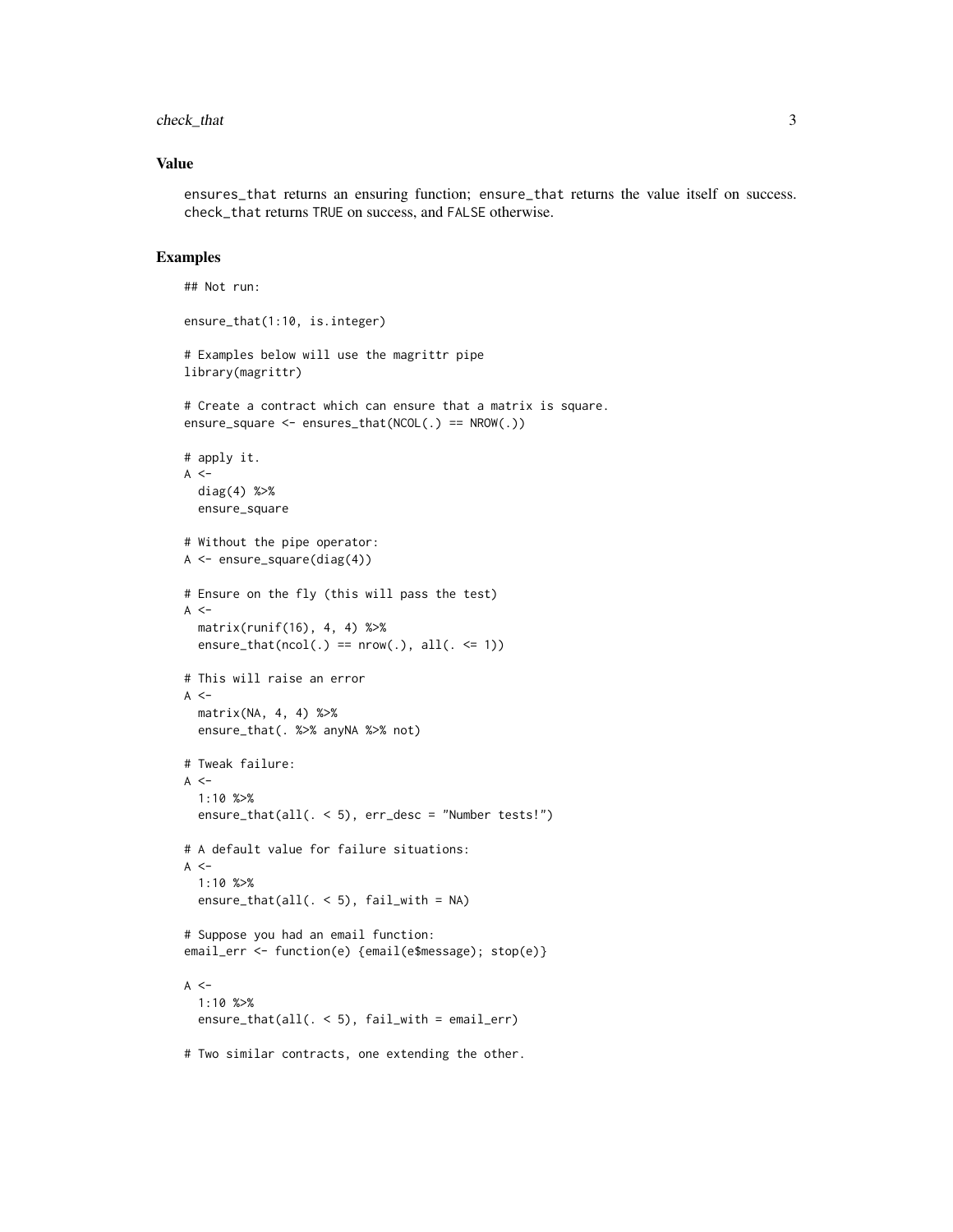check\_that 3

#### Value

ensures\_that returns an ensuring function; ensure\_that returns the value itself on success. check\_that returns TRUE on success, and FALSE otherwise.

#### Examples

```
## Not run:
ensure_that(1:10, is.integer)
# Examples below will use the magrittr pipe
library(magrittr)
# Create a contract which can ensure that a matrix is square.
ensure_square <- ensures_that(NCOL(.) == NROW(.))
# apply it.
A < -diag(4) %>%
  ensure_square
# Without the pipe operator:
A \leftarrow ensure_square(diag(4))
# Ensure on the fly (this will pass the test)
A < -matrix(runif(16), 4, 4) %>%
  ensure_that(ncol(.) == nrow(.), all(. <= 1))
# This will raise an error
A < -matrix(NA, 4, 4) %>%
  ensure_that(. %>% anyNA %>% not)
# Tweak failure:
A < -1:10 %>%
  ensure_that(all(. < 5), err_desc = "Number tests!")
# A default value for failure situations:
A < -1:10 %>%
  ensure_that(all(. < 5), fail_with = NA)
# Suppose you had an email function:
email_err <- function(e) {email(e$message); stop(e)}
A < -1:10 %>%
  ensure_that(all(. < 5), fail_with = email_err)
# Two similar contracts, one extending the other.
```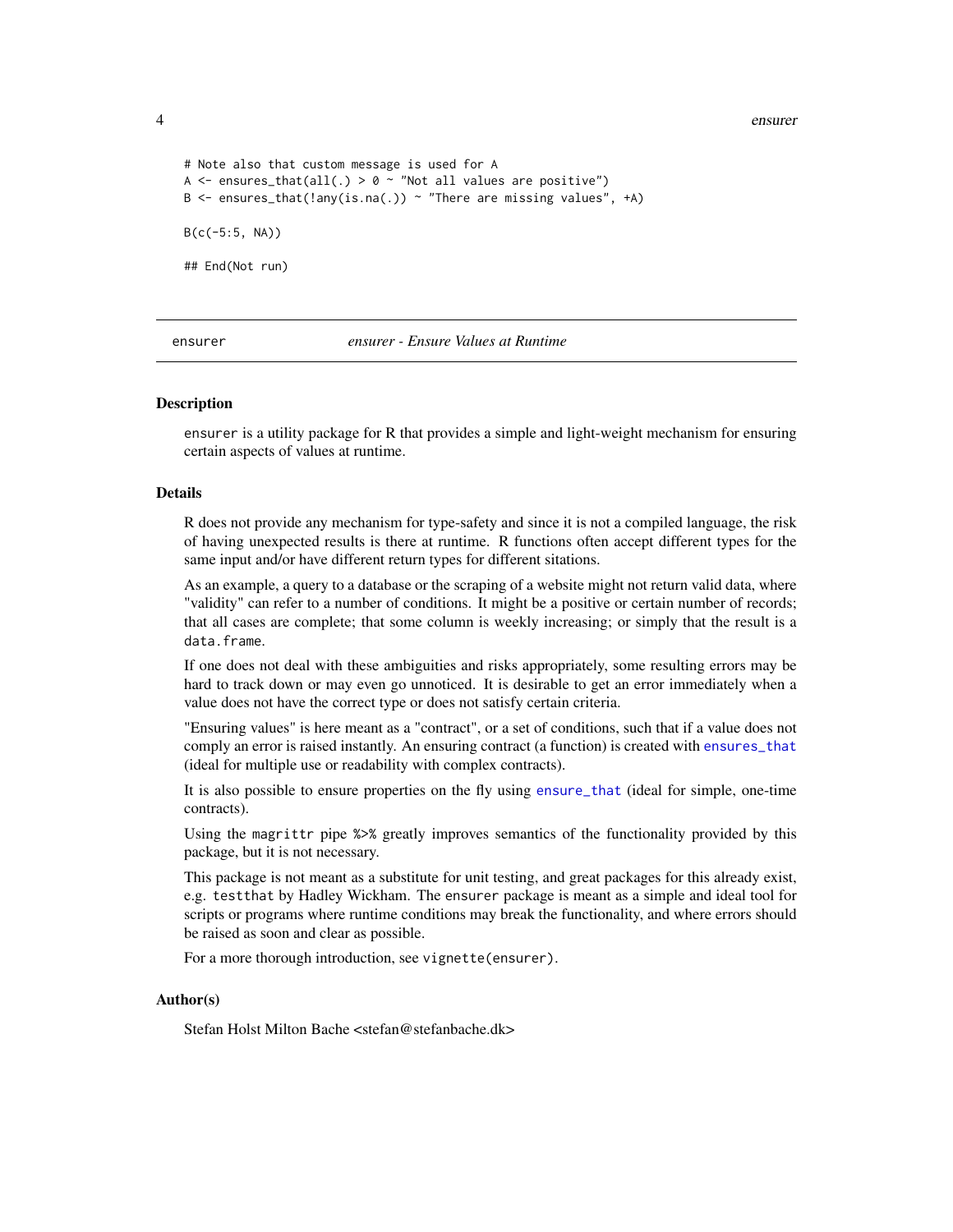4 ensurer and the set of the set of the set of the set of the set of the set of the set of the set of the set of the set of the set of the set of the set of the set of the set of the set of the set of the set of the set of

```
# Note also that custom message is used for A
A \leq ensures_that(all(.) > 0 \sim "Not all values are positive")
B \leq - ensures_that(!any(is.na(.)) ~ "There are missing values", +A)
B(c(-5:5, NA))## End(Not run)
```
#### ensurer *ensurer - Ensure Values at Runtime*

#### Description

ensurer is a utility package for R that provides a simple and light-weight mechanism for ensuring certain aspects of values at runtime.

#### Details

R does not provide any mechanism for type-safety and since it is not a compiled language, the risk of having unexpected results is there at runtime. R functions often accept different types for the same input and/or have different return types for different sitations.

As an example, a query to a database or the scraping of a website might not return valid data, where "validity" can refer to a number of conditions. It might be a positive or certain number of records; that all cases are complete; that some column is weekly increasing; or simply that the result is a data.frame.

If one does not deal with these ambiguities and risks appropriately, some resulting errors may be hard to track down or may even go unnoticed. It is desirable to get an error immediately when a value does not have the correct type or does not satisfy certain criteria.

"Ensuring values" is here meant as a "contract", or a set of conditions, such that if a value does not comply an error is raised instantly. An ensuring contract (a function) is created with [ensures\\_that](#page-1-1) (ideal for multiple use or readability with complex contracts).

It is also possible to ensure properties on the fly using [ensure\\_that](#page-1-1) (ideal for simple, one-time contracts).

Using the magrittr pipe %>% greatly improves semantics of the functionality provided by this package, but it is not necessary.

This package is not meant as a substitute for unit testing, and great packages for this already exist, e.g. testthat by Hadley Wickham. The ensurer package is meant as a simple and ideal tool for scripts or programs where runtime conditions may break the functionality, and where errors should be raised as soon and clear as possible.

For a more thorough introduction, see vignette(ensurer).

#### Author(s)

Stefan Holst Milton Bache <stefan@stefanbache.dk>

<span id="page-3-0"></span>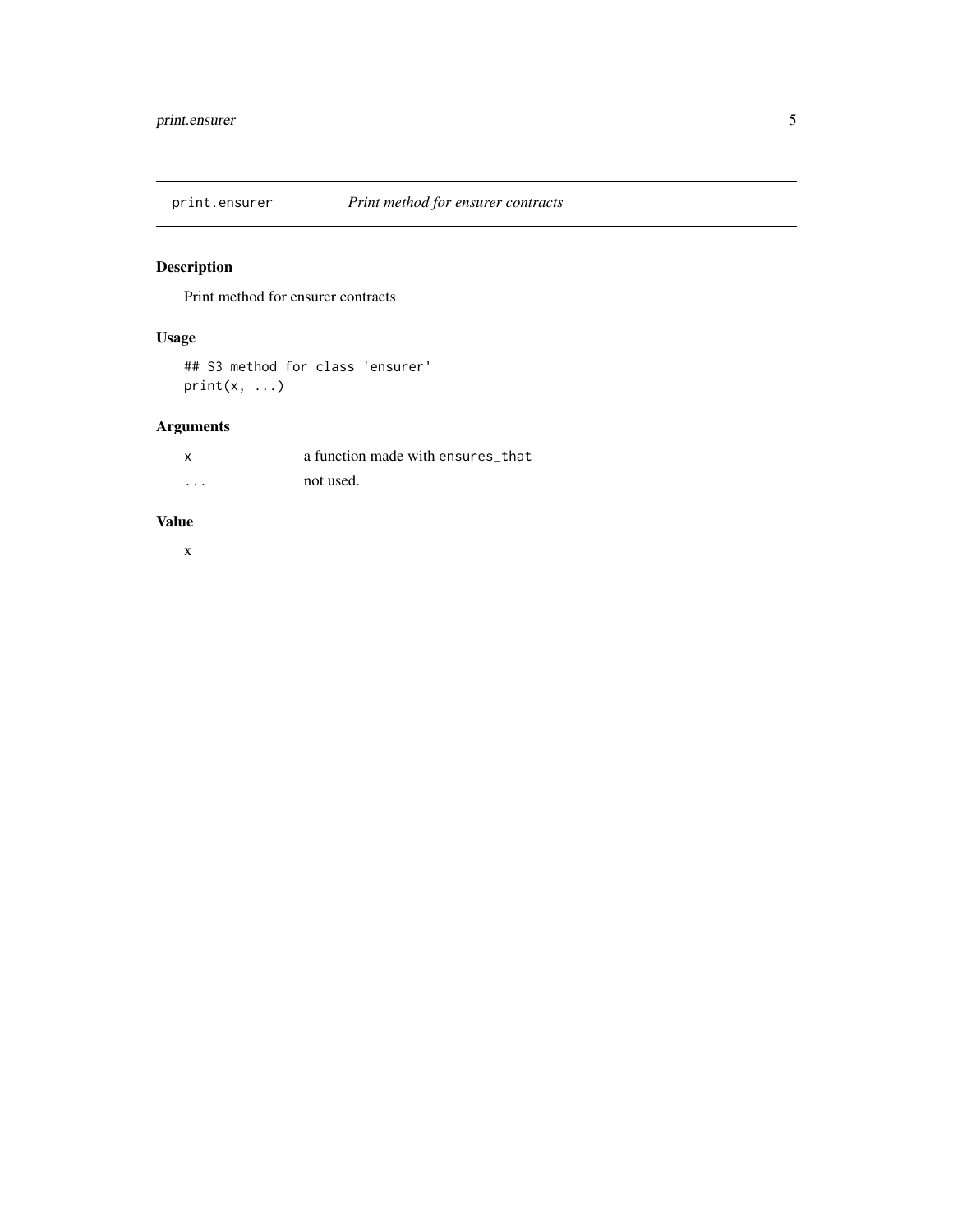<span id="page-4-0"></span>

## Description

Print method for ensurer contracts

### Usage

## S3 method for class 'ensurer'  $print(x, \ldots)$ 

## Arguments

|          | a function made with ensures that |
|----------|-----------------------------------|
| $\cdots$ | not used.                         |

#### Value

x